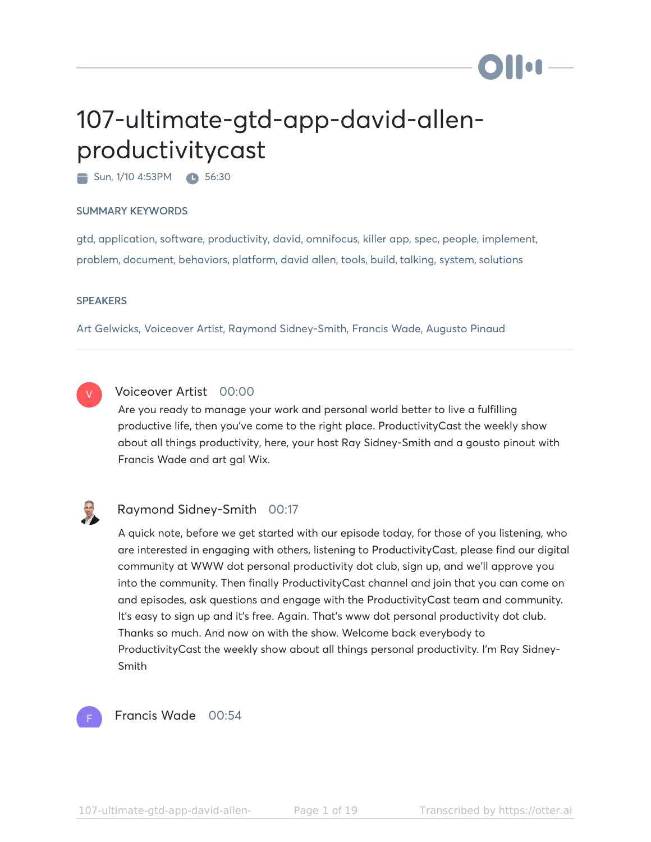# 107-ultimate-gtd-app-david-allenproductivitycast

Sun, 1/10 4:53PM **1 56:30** 

#### SUMMARY KEYWORDS

gtd, application, software, productivity, david, omnifocus, killer app, spec, people, implement, problem, document, behaviors, platform, david allen, tools, build, talking, system, solutions

#### **SPEAKERS**

Art Gelwicks, Voiceover Artist, Raymond Sidney-Smith, Francis Wade, Augusto Pinaud



## Voiceover Artist 00:00

Are you ready to manage your work and personal world better to live a fulfilling productive life, then you've come to the right place. ProductivityCast the weekly show about all things productivity, here, your host Ray Sidney-Smith and a gousto pinout with Francis Wade and art gal Wix.



#### Raymond Sidney-Smith 00:17

A quick note, before we get started with our episode today, for those of you listening, who are interested in engaging with others, listening to ProductivityCast, please find our digital community at WWW dot personal productivity dot club, sign up, and we'll approve you into the community. Then finally ProductivityCast channel and join that you can come on and episodes, ask questions and engage with the ProductivityCast team and community. It's easy to sign up and it's free. Again. That's www dot personal productivity dot club. Thanks so much. And now on with the show. Welcome back everybody to ProductivityCast the weekly show about all things personal productivity. I'm Ray Sidney-Smith



#### Francis Wade 00:54

i i oa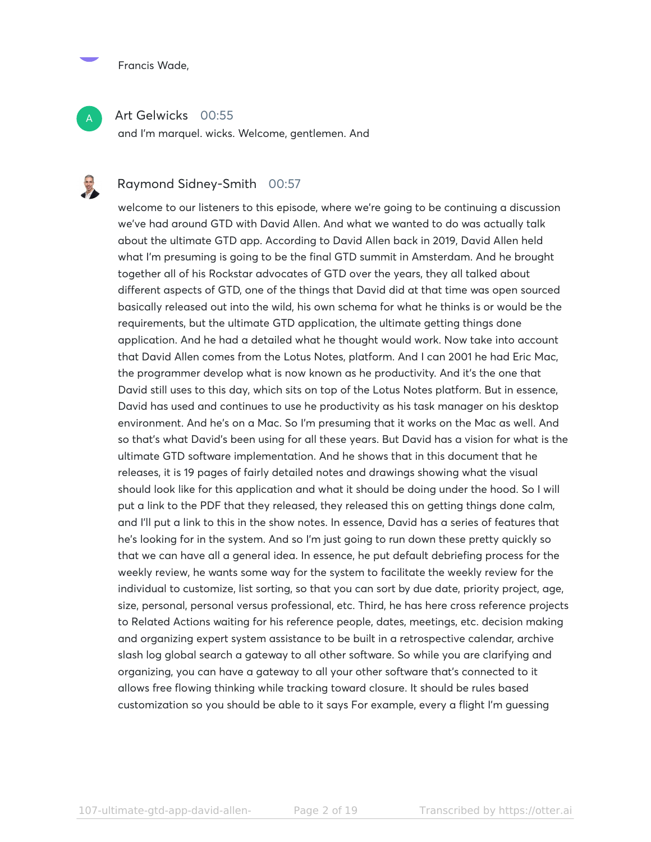

A

#### Art Gelwicks 00:55

and I'm marquel. wicks. Welcome, gentlemen. And

### Raymond Sidney-Smith 00:57

welcome to our listeners to this episode, where we're going to be continuing a discussion we've had around GTD with David Allen. And what we wanted to do was actually talk about the ultimate GTD app. According to David Allen back in 2019, David Allen held what I'm presuming is going to be the final GTD summit in Amsterdam. And he brought together all of his Rockstar advocates of GTD over the years, they all talked about different aspects of GTD, one of the things that David did at that time was open sourced basically released out into the wild, his own schema for what he thinks is or would be the requirements, but the ultimate GTD application, the ultimate getting things done application. And he had a detailed what he thought would work. Now take into account that David Allen comes from the Lotus Notes, platform. And I can 2001 he had Eric Mac, the programmer develop what is now known as he productivity. And it's the one that David still uses to this day, which sits on top of the Lotus Notes platform. But in essence, David has used and continues to use he productivity as his task manager on his desktop environment. And he's on a Mac. So I'm presuming that it works on the Mac as well. And so that's what David's been using for all these years. But David has a vision for what is the ultimate GTD software implementation. And he shows that in this document that he releases, it is 19 pages of fairly detailed notes and drawings showing what the visual should look like for this application and what it should be doing under the hood. So I will put a link to the PDF that they released, they released this on getting things done calm, and I'll put a link to this in the show notes. In essence, David has a series of features that he's looking for in the system. And so I'm just going to run down these pretty quickly so that we can have all a general idea. In essence, he put default debriefing process for the weekly review, he wants some way for the system to facilitate the weekly review for the individual to customize, list sorting, so that you can sort by due date, priority project, age, size, personal, personal versus professional, etc. Third, he has here cross reference projects to Related Actions waiting for his reference people, dates, meetings, etc. decision making and organizing expert system assistance to be built in a retrospective calendar, archive slash log global search a gateway to all other software. So while you are clarifying and organizing, you can have a gateway to all your other software that's connected to it allows free flowing thinking while tracking toward closure. It should be rules based customization so you should be able to it says For example, every a flight I'm guessing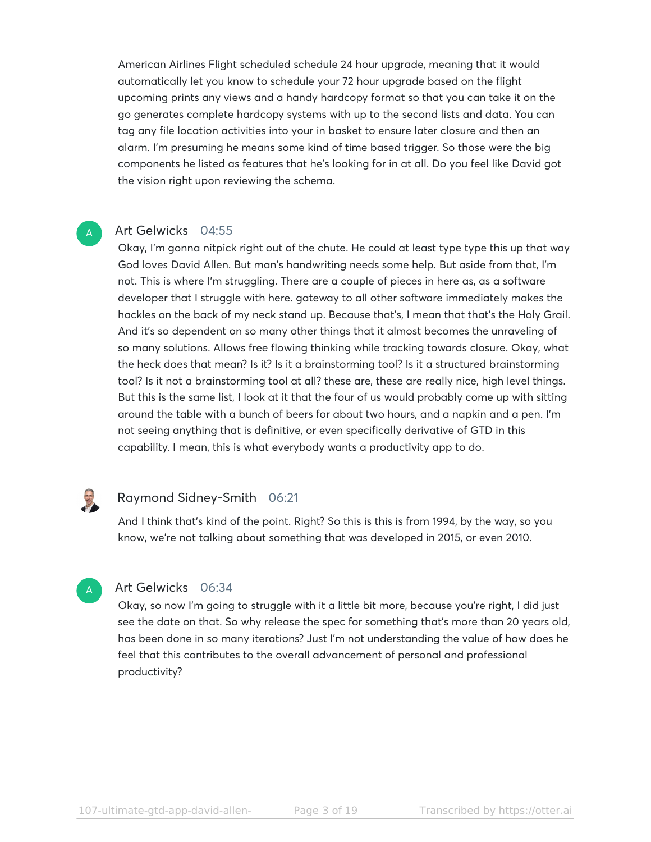American Airlines Flight scheduled schedule 24 hour upgrade, meaning that it would automatically let you know to schedule your 72 hour upgrade based on the flight upcoming prints any views and a handy hardcopy format so that you can take it on the go generates complete hardcopy systems with up to the second lists and data. You can tag any file location activities into your in basket to ensure later closure and then an alarm. I'm presuming he means some kind of time based trigger. So those were the big components he listed as features that he's looking for in at all. Do you feel like David got the vision right upon reviewing the schema.

#### Art Gelwicks 04:55

Okay, I'm gonna nitpick right out of the chute. He could at least type type this up that way God loves David Allen. But man's handwriting needs some help. But aside from that, I'm not. This is where I'm struggling. There are a couple of pieces in here as, as a software developer that I struggle with here. gateway to all other software immediately makes the hackles on the back of my neck stand up. Because that's, I mean that that's the Holy Grail. And it's so dependent on so many other things that it almost becomes the unraveling of so many solutions. Allows free flowing thinking while tracking towards closure. Okay, what the heck does that mean? Is it? Is it a brainstorming tool? Is it a structured brainstorming tool? Is it not a brainstorming tool at all? these are, these are really nice, high level things. But this is the same list, I look at it that the four of us would probably come up with sitting around the table with a bunch of beers for about two hours, and a napkin and a pen. I'm not seeing anything that is definitive, or even specifically derivative of GTD in this capability. I mean, this is what everybody wants a productivity app to do.

## Raymond Sidney-Smith 06:21

And I think that's kind of the point. Right? So this is this is from 1994, by the way, so you know, we're not talking about something that was developed in 2015, or even 2010.



U

A

#### Art Gelwicks 06:34

Okay, so now I'm going to struggle with it a little bit more, because you're right, I did just see the date on that. So why release the spec for something that's more than 20 years old, has been done in so many iterations? Just I'm not understanding the value of how does he feel that this contributes to the overall advancement of personal and professional productivity?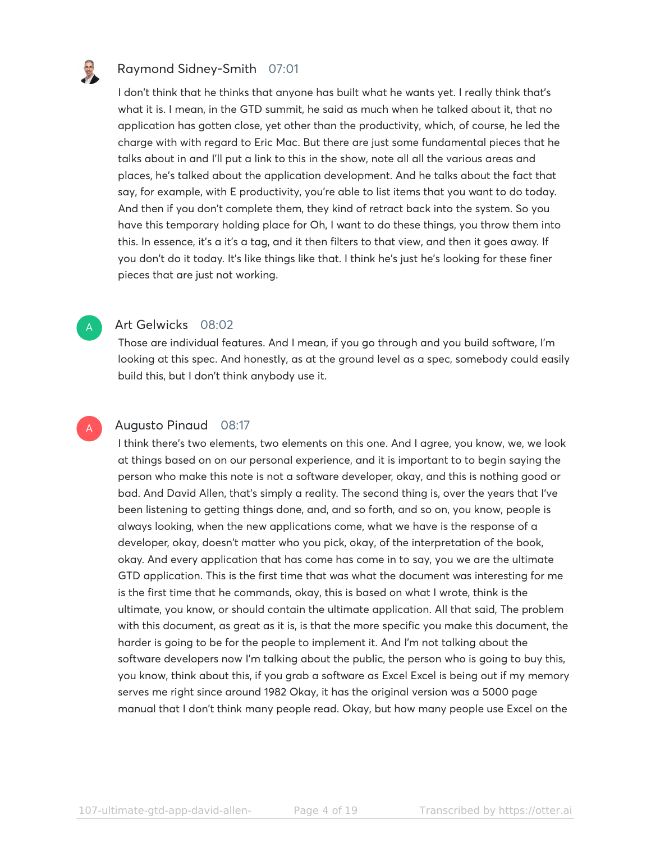

A

#### Raymond Sidney-Smith 07:01

I don't think that he thinks that anyone has built what he wants yet. I really think that's what it is. I mean, in the GTD summit, he said as much when he talked about it, that no application has gotten close, yet other than the productivity, which, of course, he led the charge with with regard to Eric Mac. But there are just some fundamental pieces that he talks about in and I'll put a link to this in the show, note all all the various areas and places, he's talked about the application development. And he talks about the fact that say, for example, with E productivity, you're able to list items that you want to do today. And then if you don't complete them, they kind of retract back into the system. So you have this temporary holding place for Oh, I want to do these things, you throw them into this. In essence, it's a it's a tag, and it then filters to that view, and then it goes away. If you don't do it today. It's like things like that. I think he's just he's looking for these finer pieces that are just not working.

#### Art Gelwicks 08:02

Those are individual features. And I mean, if you go through and you build software, I'm looking at this spec. And honestly, as at the ground level as a spec, somebody could easily build this, but I don't think anybody use it.

#### Augusto Pinaud 08:17 A

I think there's two elements, two elements on this one. And I agree, you know, we, we look at things based on on our personal experience, and it is important to to begin saying the person who make this note is not a software developer, okay, and this is nothing good or bad. And David Allen, that's simply a reality. The second thing is, over the years that I've been listening to getting things done, and, and so forth, and so on, you know, people is always looking, when the new applications come, what we have is the response of a developer, okay, doesn't matter who you pick, okay, of the interpretation of the book, okay. And every application that has come has come in to say, you we are the ultimate GTD application. This is the first time that was what the document was interesting for me is the first time that he commands, okay, this is based on what I wrote, think is the ultimate, you know, or should contain the ultimate application. All that said, The problem with this document, as great as it is, is that the more specific you make this document, the harder is going to be for the people to implement it. And I'm not talking about the software developers now I'm talking about the public, the person who is going to buy this, you know, think about this, if you grab a software as Excel Excel is being out if my memory serves me right since around 1982 Okay, it has the original version was a 5000 page manual that I don't think many people read. Okay, but how many people use Excel on the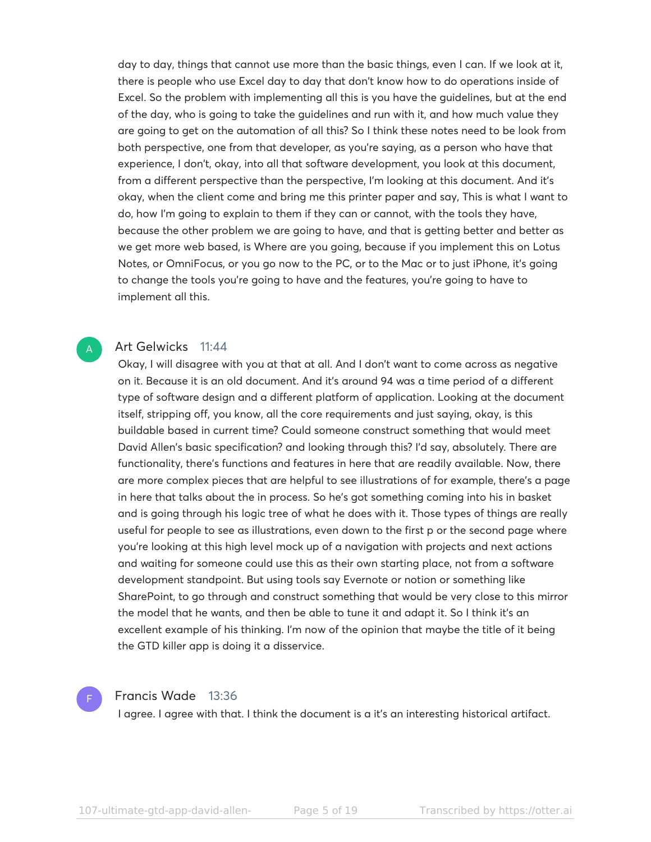day to day, things that cannot use more than the basic things, even I can. If we look at it, there is people who use Excel day to day that don't know how to do operations inside of Excel. So the problem with implementing all this is you have the guidelines, but at the end of the day, who is going to take the guidelines and run with it, and how much value they are going to get on the automation of all this? So I think these notes need to be look from both perspective, one from that developer, as you're saying, as a person who have that experience, I don't, okay, into all that software development, you look at this document, from a different perspective than the perspective, I'm looking at this document. And it's okay, when the client come and bring me this printer paper and say, This is what I want to do, how I'm going to explain to them if they can or cannot, with the tools they have, because the other problem we are going to have, and that is getting better and better as we get more web based, is Where are you going, because if you implement this on Lotus Notes, or OmniFocus, or you go now to the PC, or to the Mac or to just iPhone, it's going to change the tools you're going to have and the features, you're going to have to implement all this.

### Art Gelwicks 11:44

Okay, I will disagree with you at that at all. And I don't want to come across as negative on it. Because it is an old document. And it's around 94 was a time period of a different type of software design and a different platform of application. Looking at the document itself, stripping off, you know, all the core requirements and just saying, okay, is this buildable based in current time? Could someone construct something that would meet David Allen's basic specification? and looking through this? I'd say, absolutely. There are functionality, there's functions and features in here that are readily available. Now, there are more complex pieces that are helpful to see illustrations of for example, there's a page in here that talks about the in process. So he's got something coming into his in basket and is going through his logic tree of what he does with it. Those types of things are really useful for people to see as illustrations, even down to the first p or the second page where you're looking at this high level mock up of a navigation with projects and next actions and waiting for someone could use this as their own starting place, not from a software development standpoint. But using tools say Evernote or notion or something like SharePoint, to go through and construct something that would be very close to this mirror the model that he wants, and then be able to tune it and adapt it. So I think it's an excellent example of his thinking. I'm now of the opinion that maybe the title of it being the GTD killer app is doing it a disservice.



A

#### Francis Wade 13:36

I agree. I agree with that. I think the document is a it's an interesting historical artifact.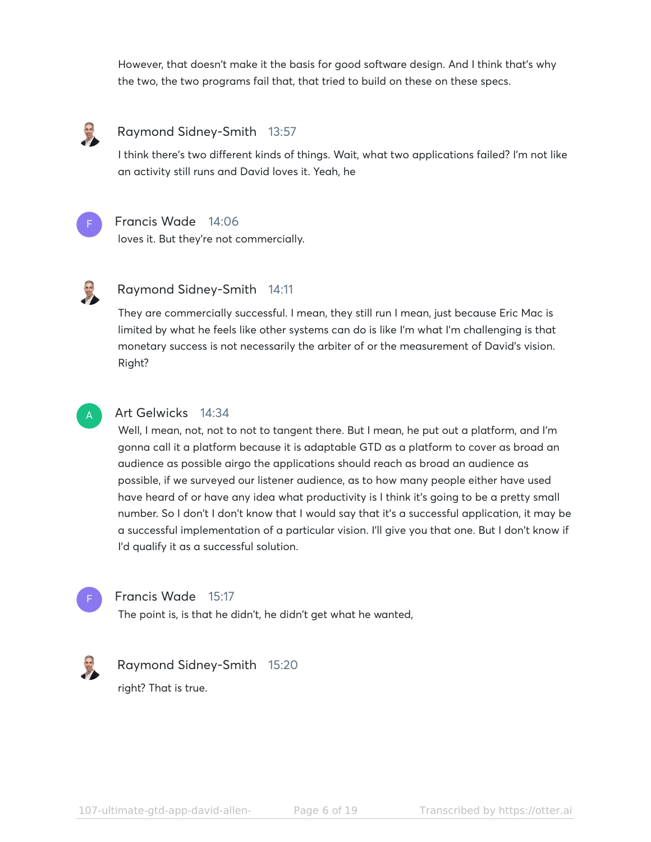However, that doesn't make it the basis for good software design. And I think that's why the two, the two programs fail that, that tried to build on these on these specs.



#### Raymond Sidney-Smith 13:57

I think there's two different kinds of things. Wait, what two applications failed? I'm not like an activity still runs and David loves it. Yeah, he



#### Francis Wade 14:06

loves it. But they're not commercially.



#### Raymond Sidney-Smith 14:11

They are commercially successful. I mean, they still run I mean, just because Eric Mac is limited by what he feels like other systems can do is like I'm what I'm challenging is that monetary success is not necessarily the arbiter of or the measurement of David's vision. Right?



#### Art Gelwicks 14:34

Well, I mean, not, not to not to tangent there. But I mean, he put out a platform, and I'm gonna call it a platform because it is adaptable GTD as a platform to cover as broad an audience as possible airgo the applications should reach as broad an audience as possible, if we surveyed our listener audience, as to how many people either have used have heard of or have any idea what productivity is I think it's going to be a pretty small number. So I don't I don't know that I would say that it's a successful application, it may be a successful implementation of a particular vision. I'll give you that one. But I don't know if I'd qualify it as a successful solution.



#### Francis Wade 15:17

The point is, is that he didn't, he didn't get what he wanted,



## Raymond Sidney-Smith 15:20

right? That is true.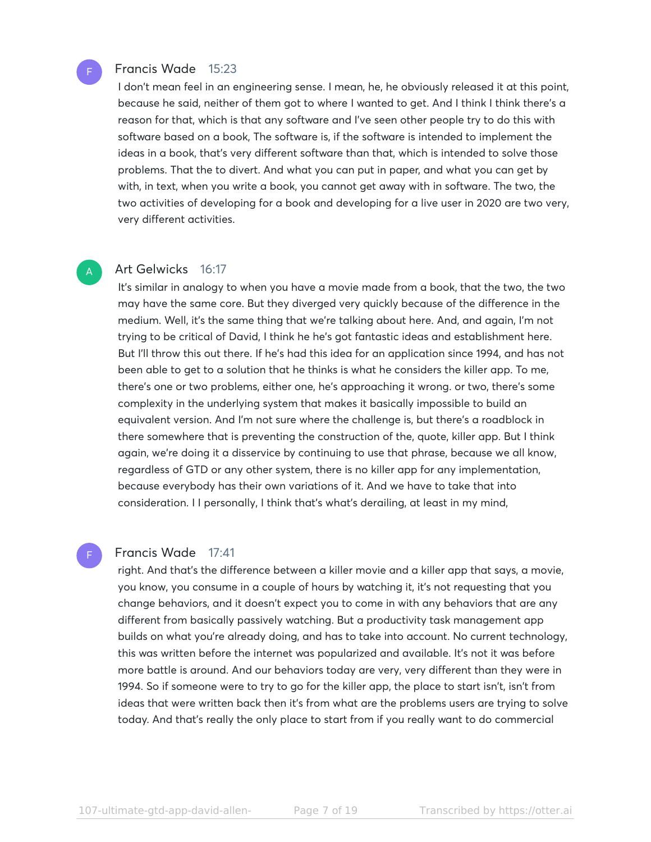#### Francis Wade 15:23

F

A

F

I don't mean feel in an engineering sense. I mean, he, he obviously released it at this point, because he said, neither of them got to where I wanted to get. And I think I think there's a reason for that, which is that any software and I've seen other people try to do this with software based on a book, The software is, if the software is intended to implement the ideas in a book, that's very different software than that, which is intended to solve those problems. That the to divert. And what you can put in paper, and what you can get by with, in text, when you write a book, you cannot get away with in software. The two, the two activities of developing for a book and developing for a live user in 2020 are two very, very different activities.

#### Art Gelwicks 16:17

It's similar in analogy to when you have a movie made from a book, that the two, the two may have the same core. But they diverged very quickly because of the difference in the medium. Well, it's the same thing that we're talking about here. And, and again, I'm not trying to be critical of David, I think he he's got fantastic ideas and establishment here. But I'll throw this out there. If he's had this idea for an application since 1994, and has not been able to get to a solution that he thinks is what he considers the killer app. To me, there's one or two problems, either one, he's approaching it wrong. or two, there's some complexity in the underlying system that makes it basically impossible to build an equivalent version. And I'm not sure where the challenge is, but there's a roadblock in there somewhere that is preventing the construction of the, quote, killer app. But I think again, we're doing it a disservice by continuing to use that phrase, because we all know, regardless of GTD or any other system, there is no killer app for any implementation, because everybody has their own variations of it. And we have to take that into consideration. I I personally, I think that's what's derailing, at least in my mind,

#### Francis Wade 17:41

right. And that's the difference between a killer movie and a killer app that says, a movie, you know, you consume in a couple of hours by watching it, it's not requesting that you change behaviors, and it doesn't expect you to come in with any behaviors that are any different from basically passively watching. But a productivity task management app builds on what you're already doing, and has to take into account. No current technology, this was written before the internet was popularized and available. It's not it was before more battle is around. And our behaviors today are very, very different than they were in 1994. So if someone were to try to go for the killer app, the place to start isn't, isn't from ideas that were written back then it's from what are the problems users are trying to solve today. And that's really the only place to start from if you really want to do commercial

107-ultimate-gtd-app-david-allen-<br>
Page 7 of 19 Transcribed by https://otter.ai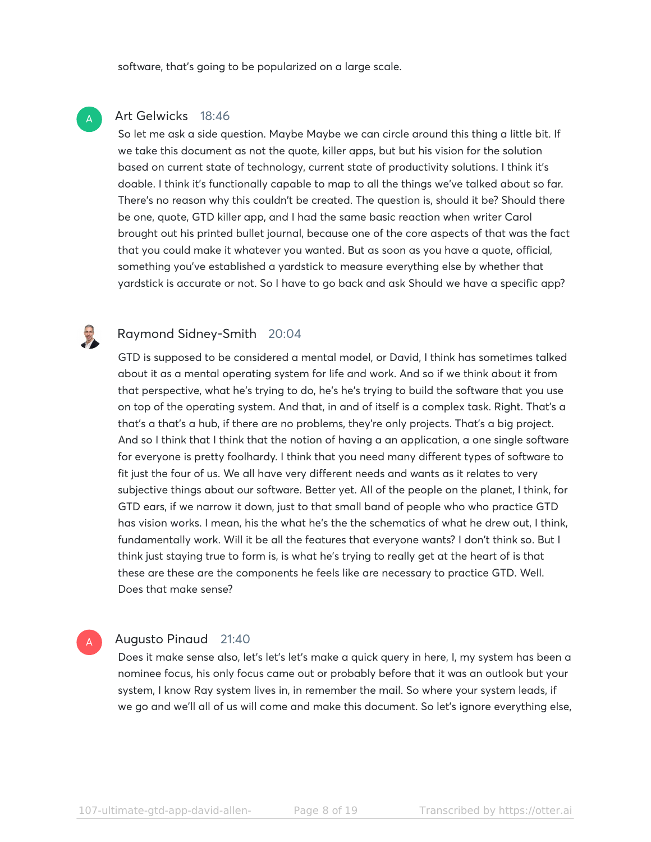software, that's going to be popularized on a large scale.

#### Art Gelwicks 18:46

So let me ask a side question. Maybe Maybe we can circle around this thing a little bit. If we take this document as not the quote, killer apps, but but his vision for the solution based on current state of technology, current state of productivity solutions. I think it's doable. I think it's functionally capable to map to all the things we've talked about so far. There's no reason why this couldn't be created. The question is, should it be? Should there be one, quote, GTD killer app, and I had the same basic reaction when writer Carol brought out his printed bullet journal, because one of the core aspects of that was the fact that you could make it whatever you wanted. But as soon as you have a quote, official, something you've established a yardstick to measure everything else by whether that yardstick is accurate or not. So I have to go back and ask Should we have a specific app?

A

#### Raymond Sidney-Smith 20:04

GTD is supposed to be considered a mental model, or David, I think has sometimes talked about it as a mental operating system for life and work. And so if we think about it from that perspective, what he's trying to do, he's he's trying to build the software that you use on top of the operating system. And that, in and of itself is a complex task. Right. That's a that's a that's a hub, if there are no problems, they're only projects. That's a big project. And so I think that I think that the notion of having a an application, a one single software for everyone is pretty foolhardy. I think that you need many different types of software to fit just the four of us. We all have very different needs and wants as it relates to very subjective things about our software. Better yet. All of the people on the planet, I think, for GTD ears, if we narrow it down, just to that small band of people who who practice GTD has vision works. I mean, his the what he's the the schematics of what he drew out, I think, fundamentally work. Will it be all the features that everyone wants? I don't think so. But I think just staying true to form is, is what he's trying to really get at the heart of is that these are these are the components he feels like are necessary to practice GTD. Well. Does that make sense?

#### Augusto Pinaud 21:40 A

Does it make sense also, let's let's let's make a quick query in here, I, my system has been a nominee focus, his only focus came out or probably before that it was an outlook but your system, I know Ray system lives in, in remember the mail. So where your system leads, if we go and we'll all of us will come and make this document. So let's ignore everything else,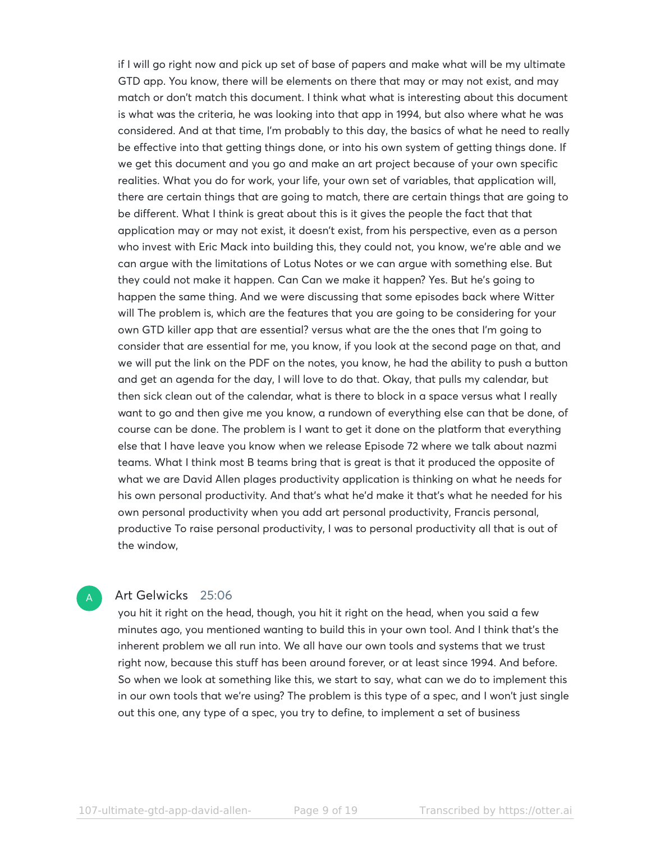if I will go right now and pick up set of base of papers and make what will be my ultimate GTD app. You know, there will be elements on there that may or may not exist, and may match or don't match this document. I think what what is interesting about this document is what was the criteria, he was looking into that app in 1994, but also where what he was considered. And at that time, I'm probably to this day, the basics of what he need to really be effective into that getting things done, or into his own system of getting things done. If we get this document and you go and make an art project because of your own specific realities. What you do for work, your life, your own set of variables, that application will, there are certain things that are going to match, there are certain things that are going to be different. What I think is great about this is it gives the people the fact that that application may or may not exist, it doesn't exist, from his perspective, even as a person who invest with Eric Mack into building this, they could not, you know, we're able and we can argue with the limitations of Lotus Notes or we can argue with something else. But they could not make it happen. Can Can we make it happen? Yes. But he's going to happen the same thing. And we were discussing that some episodes back where Witter will The problem is, which are the features that you are going to be considering for your own GTD killer app that are essential? versus what are the the ones that I'm going to consider that are essential for me, you know, if you look at the second page on that, and we will put the link on the PDF on the notes, you know, he had the ability to push a button and get an agenda for the day, I will love to do that. Okay, that pulls my calendar, but then sick clean out of the calendar, what is there to block in a space versus what I really want to go and then give me you know, a rundown of everything else can that be done, of course can be done. The problem is I want to get it done on the platform that everything else that I have leave you know when we release Episode 72 where we talk about nazmi teams. What I think most B teams bring that is great is that it produced the opposite of what we are David Allen plages productivity application is thinking on what he needs for his own personal productivity. And that's what he'd make it that's what he needed for his own personal productivity when you add art personal productivity, Francis personal, productive To raise personal productivity, I was to personal productivity all that is out of the window,

#### Art Gelwicks 25:06

A

you hit it right on the head, though, you hit it right on the head, when you said a few minutes ago, you mentioned wanting to build this in your own tool. And I think that's the inherent problem we all run into. We all have our own tools and systems that we trust right now, because this stuff has been around forever, or at least since 1994. And before. So when we look at something like this, we start to say, what can we do to implement this in our own tools that we're using? The problem is this type of a spec, and I won't just single out this one, any type of a spec, you try to define, to implement a set of business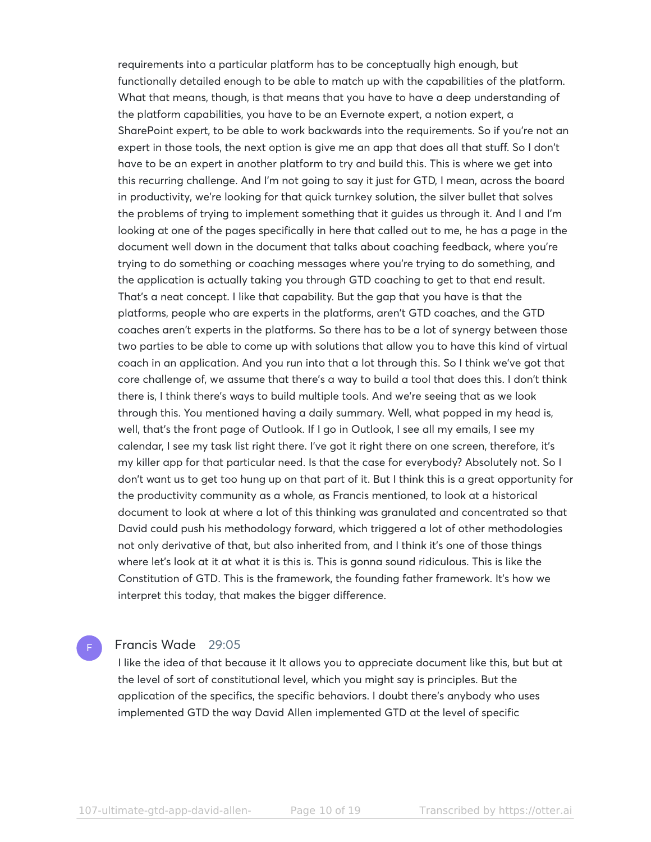requirements into a particular platform has to be conceptually high enough, but functionally detailed enough to be able to match up with the capabilities of the platform. What that means, though, is that means that you have to have a deep understanding of the platform capabilities, you have to be an Evernote expert, a notion expert, a SharePoint expert, to be able to work backwards into the requirements. So if you're not an expert in those tools, the next option is give me an app that does all that stuff. So I don't have to be an expert in another platform to try and build this. This is where we get into this recurring challenge. And I'm not going to say it just for GTD, I mean, across the board in productivity, we're looking for that quick turnkey solution, the silver bullet that solves the problems of trying to implement something that it guides us through it. And I and I'm looking at one of the pages specifically in here that called out to me, he has a page in the document well down in the document that talks about coaching feedback, where you're trying to do something or coaching messages where you're trying to do something, and the application is actually taking you through GTD coaching to get to that end result. That's a neat concept. I like that capability. But the gap that you have is that the platforms, people who are experts in the platforms, aren't GTD coaches, and the GTD coaches aren't experts in the platforms. So there has to be a lot of synergy between those two parties to be able to come up with solutions that allow you to have this kind of virtual coach in an application. And you run into that a lot through this. So I think we've got that core challenge of, we assume that there's a way to build a tool that does this. I don't think there is, I think there's ways to build multiple tools. And we're seeing that as we look through this. You mentioned having a daily summary. Well, what popped in my head is, well, that's the front page of Outlook. If I go in Outlook, I see all my emails, I see my calendar, I see my task list right there. I've got it right there on one screen, therefore, it's my killer app for that particular need. Is that the case for everybody? Absolutely not. So I don't want us to get too hung up on that part of it. But I think this is a great opportunity for the productivity community as a whole, as Francis mentioned, to look at a historical document to look at where a lot of this thinking was granulated and concentrated so that David could push his methodology forward, which triggered a lot of other methodologies not only derivative of that, but also inherited from, and I think it's one of those things where let's look at it at what it is this is. This is gonna sound ridiculous. This is like the Constitution of GTD. This is the framework, the founding father framework. It's how we interpret this today, that makes the bigger difference.

#### Francis Wade 29:05

F

I like the idea of that because it It allows you to appreciate document like this, but but at the level of sort of constitutional level, which you might say is principles. But the application of the specifics, the specific behaviors. I doubt there's anybody who uses implemented GTD the way David Allen implemented GTD at the level of specific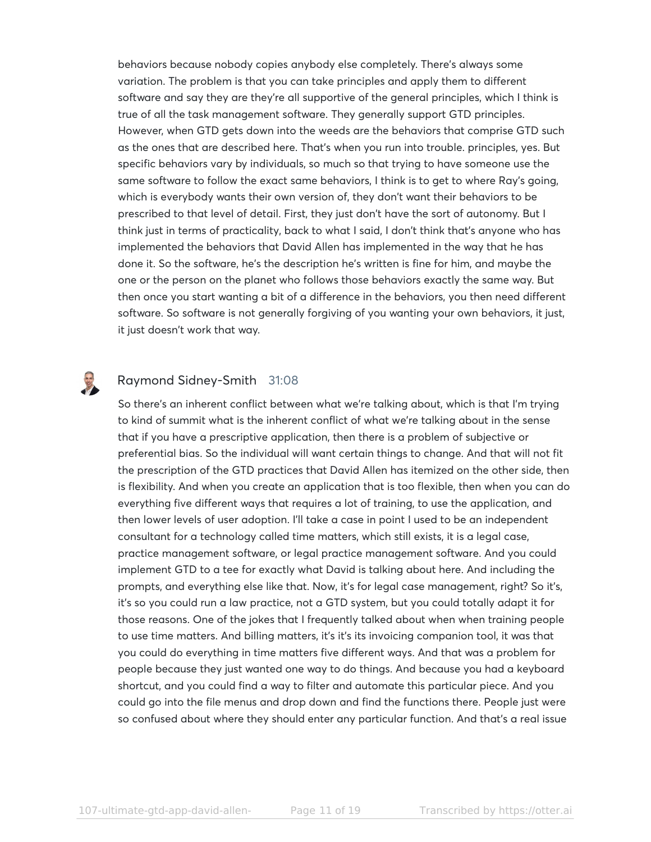behaviors because nobody copies anybody else completely. There's always some variation. The problem is that you can take principles and apply them to different software and say they are they're all supportive of the general principles, which I think is true of all the task management software. They generally support GTD principles. However, when GTD gets down into the weeds are the behaviors that comprise GTD such as the ones that are described here. That's when you run into trouble. principles, yes. But specific behaviors vary by individuals, so much so that trying to have someone use the same software to follow the exact same behaviors, I think is to get to where Ray's going, which is everybody wants their own version of, they don't want their behaviors to be prescribed to that level of detail. First, they just don't have the sort of autonomy. But I think just in terms of practicality, back to what I said, I don't think that's anyone who has implemented the behaviors that David Allen has implemented in the way that he has done it. So the software, he's the description he's written is fine for him, and maybe the one or the person on the planet who follows those behaviors exactly the same way. But then once you start wanting a bit of a difference in the behaviors, you then need different software. So software is not generally forgiving of you wanting your own behaviors, it just, it just doesn't work that way.

### Raymond Sidney-Smith 31:08

3

So there's an inherent conflict between what we're talking about, which is that I'm trying to kind of summit what is the inherent conflict of what we're talking about in the sense that if you have a prescriptive application, then there is a problem of subjective or preferential bias. So the individual will want certain things to change. And that will not fit the prescription of the GTD practices that David Allen has itemized on the other side, then is flexibility. And when you create an application that is too flexible, then when you can do everything five different ways that requires a lot of training, to use the application, and then lower levels of user adoption. I'll take a case in point I used to be an independent consultant for a technology called time matters, which still exists, it is a legal case, practice management software, or legal practice management software. And you could implement GTD to a tee for exactly what David is talking about here. And including the prompts, and everything else like that. Now, it's for legal case management, right? So it's, it's so you could run a law practice, not a GTD system, but you could totally adapt it for those reasons. One of the jokes that I frequently talked about when when training people to use time matters. And billing matters, it's it's its invoicing companion tool, it was that you could do everything in time matters five different ways. And that was a problem for people because they just wanted one way to do things. And because you had a keyboard shortcut, and you could find a way to filter and automate this particular piece. And you could go into the file menus and drop down and find the functions there. People just were so confused about where they should enter any particular function. And that's a real issue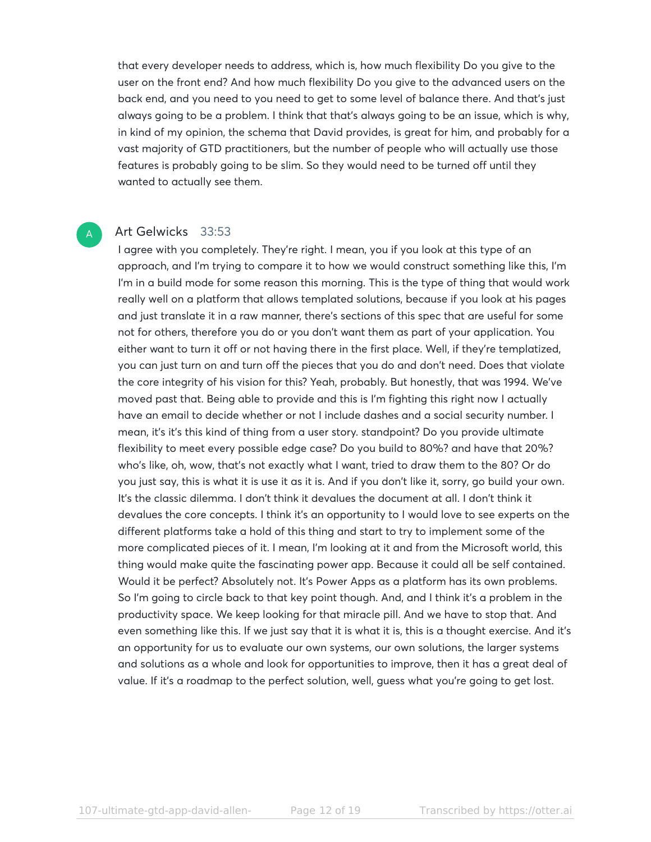that every developer needs to address, which is, how much flexibility Do you give to the user on the front end? And how much flexibility Do you give to the advanced users on the back end, and you need to you need to get to some level of balance there. And that's just always going to be a problem. I think that that's always going to be an issue, which is why, in kind of my opinion, the schema that David provides, is great for him, and probably for a vast majority of GTD practitioners, but the number of people who will actually use those features is probably going to be slim. So they would need to be turned off until they wanted to actually see them.

#### Art Gelwicks 33:53

A

I agree with you completely. They're right. I mean, you if you look at this type of an approach, and I'm trying to compare it to how we would construct something like this, I'm I'm in a build mode for some reason this morning. This is the type of thing that would work really well on a platform that allows templated solutions, because if you look at his pages and just translate it in a raw manner, there's sections of this spec that are useful for some not for others, therefore you do or you don't want them as part of your application. You either want to turn it off or not having there in the first place. Well, if they're templatized, you can just turn on and turn off the pieces that you do and don't need. Does that violate the core integrity of his vision for this? Yeah, probably. But honestly, that was 1994. We've moved past that. Being able to provide and this is I'm fighting this right now I actually have an email to decide whether or not I include dashes and a social security number. I mean, it's it's this kind of thing from a user story. standpoint? Do you provide ultimate flexibility to meet every possible edge case? Do you build to 80%? and have that 20%? who's like, oh, wow, that's not exactly what I want, tried to draw them to the 80? Or do you just say, this is what it is use it as it is. And if you don't like it, sorry, go build your own. It's the classic dilemma. I don't think it devalues the document at all. I don't think it devalues the core concepts. I think it's an opportunity to I would love to see experts on the different platforms take a hold of this thing and start to try to implement some of the more complicated pieces of it. I mean, I'm looking at it and from the Microsoft world, this thing would make quite the fascinating power app. Because it could all be self contained. Would it be perfect? Absolutely not. It's Power Apps as a platform has its own problems. So I'm going to circle back to that key point though. And, and I think it's a problem in the productivity space. We keep looking for that miracle pill. And we have to stop that. And even something like this. If we just say that it is what it is, this is a thought exercise. And it's an opportunity for us to evaluate our own systems, our own solutions, the larger systems and solutions as a whole and look for opportunities to improve, then it has a great deal of value. If it's a roadmap to the perfect solution, well, guess what you're going to get lost.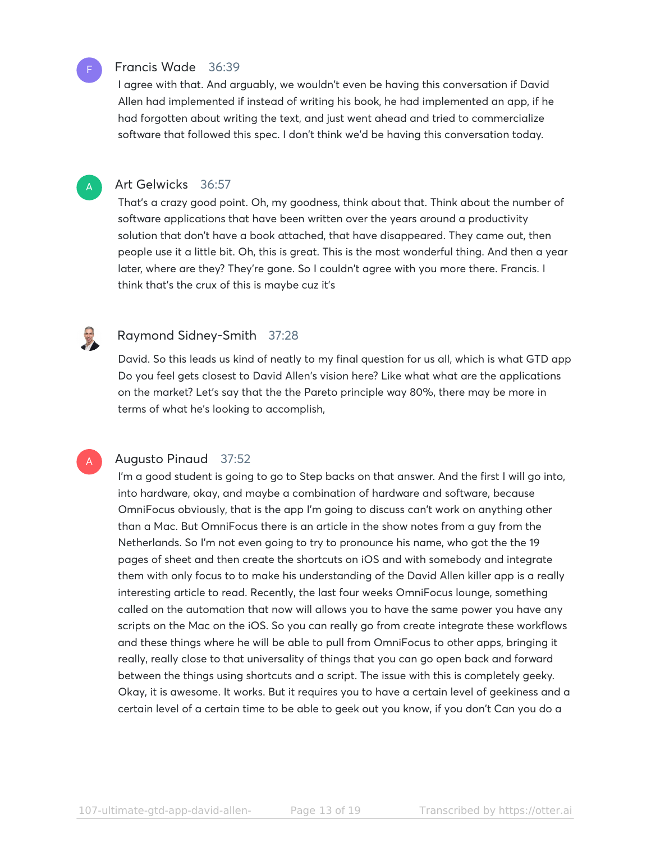

#### Francis Wade 36:39

I agree with that. And arguably, we wouldn't even be having this conversation if David Allen had implemented if instead of writing his book, he had implemented an app, if he had forgotten about writing the text, and just went ahead and tried to commercialize software that followed this spec. I don't think we'd be having this conversation today.

A

A

3

#### Art Gelwicks 36:57

That's a crazy good point. Oh, my goodness, think about that. Think about the number of software applications that have been written over the years around a productivity solution that don't have a book attached, that have disappeared. They came out, then people use it a little bit. Oh, this is great. This is the most wonderful thing. And then a year later, where are they? They're gone. So I couldn't agree with you more there. Francis. I think that's the crux of this is maybe cuz it's

#### Raymond Sidney-Smith 37:28

David. So this leads us kind of neatly to my final question for us all, which is what GTD app Do you feel gets closest to David Allen's vision here? Like what what are the applications on the market? Let's say that the the Pareto principle way 80%, there may be more in terms of what he's looking to accomplish,

#### Augusto Pinaud 37:52

I'm a good student is going to go to Step backs on that answer. And the first I will go into, into hardware, okay, and maybe a combination of hardware and software, because OmniFocus obviously, that is the app I'm going to discuss can't work on anything other than a Mac. But OmniFocus there is an article in the show notes from a guy from the Netherlands. So I'm not even going to try to pronounce his name, who got the the 19 pages of sheet and then create the shortcuts on iOS and with somebody and integrate them with only focus to to make his understanding of the David Allen killer app is a really interesting article to read. Recently, the last four weeks OmniFocus lounge, something called on the automation that now will allows you to have the same power you have any scripts on the Mac on the iOS. So you can really go from create integrate these workflows and these things where he will be able to pull from OmniFocus to other apps, bringing it really, really close to that universality of things that you can go open back and forward between the things using shortcuts and a script. The issue with this is completely geeky. Okay, it is awesome. It works. But it requires you to have a certain level of geekiness and a certain level of a certain time to be able to geek out you know, if you don't Can you do a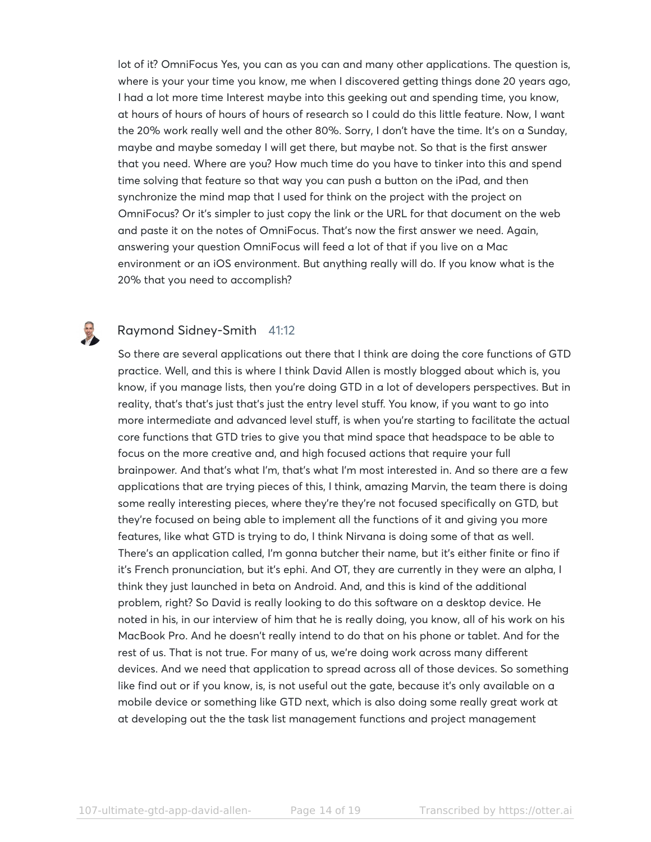lot of it? OmniFocus Yes, you can as you can and many other applications. The question is, where is your your time you know, me when I discovered getting things done 20 years ago, I had a lot more time Interest maybe into this geeking out and spending time, you know, at hours of hours of hours of hours of research so I could do this little feature. Now, I want the 20% work really well and the other 80%. Sorry, I don't have the time. It's on a Sunday, maybe and maybe someday I will get there, but maybe not. So that is the first answer that you need. Where are you? How much time do you have to tinker into this and spend time solving that feature so that way you can push a button on the iPad, and then synchronize the mind map that I used for think on the project with the project on OmniFocus? Or it's simpler to just copy the link or the URL for that document on the web and paste it on the notes of OmniFocus. That's now the first answer we need. Again, answering your question OmniFocus will feed a lot of that if you live on a Mac environment or an iOS environment. But anything really will do. If you know what is the 20% that you need to accomplish?

#### Raymond Sidney-Smith 41:12

So there are several applications out there that I think are doing the core functions of GTD practice. Well, and this is where I think David Allen is mostly blogged about which is, you know, if you manage lists, then you're doing GTD in a lot of developers perspectives. But in reality, that's that's just that's just the entry level stuff. You know, if you want to go into more intermediate and advanced level stuff, is when you're starting to facilitate the actual core functions that GTD tries to give you that mind space that headspace to be able to focus on the more creative and, and high focused actions that require your full brainpower. And that's what I'm, that's what I'm most interested in. And so there are a few applications that are trying pieces of this, I think, amazing Marvin, the team there is doing some really interesting pieces, where they're they're not focused specifically on GTD, but they're focused on being able to implement all the functions of it and giving you more features, like what GTD is trying to do, I think Nirvana is doing some of that as well. There's an application called, I'm gonna butcher their name, but it's either finite or fino if it's French pronunciation, but it's ephi. And OT, they are currently in they were an alpha, I think they just launched in beta on Android. And, and this is kind of the additional problem, right? So David is really looking to do this software on a desktop device. He noted in his, in our interview of him that he is really doing, you know, all of his work on his MacBook Pro. And he doesn't really intend to do that on his phone or tablet. And for the rest of us. That is not true. For many of us, we're doing work across many different devices. And we need that application to spread across all of those devices. So something like find out or if you know, is, is not useful out the gate, because it's only available on a mobile device or something like GTD next, which is also doing some really great work at at developing out the the task list management functions and project management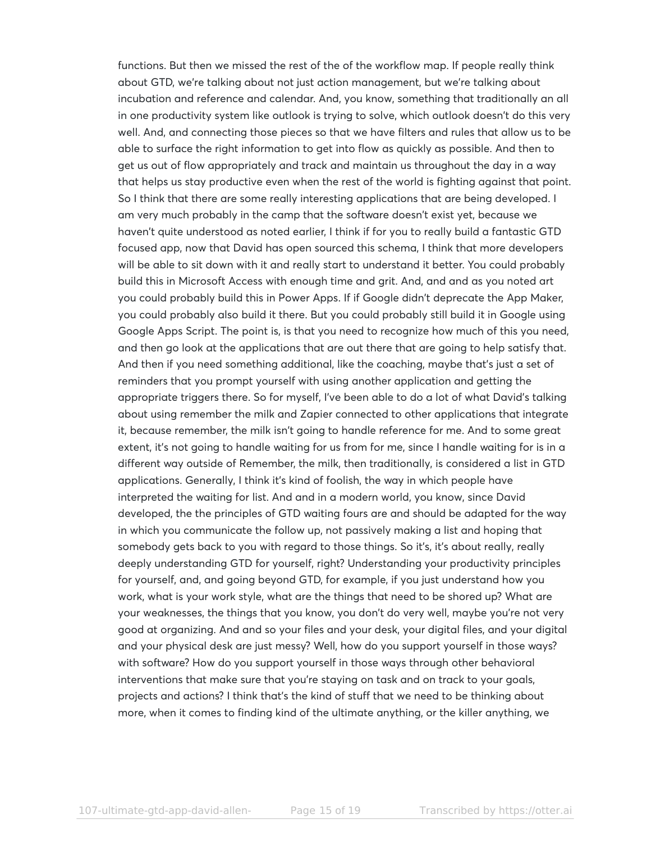functions. But then we missed the rest of the of the workflow map. If people really think about GTD, we're talking about not just action management, but we're talking about incubation and reference and calendar. And, you know, something that traditionally an all in one productivity system like outlook is trying to solve, which outlook doesn't do this very well. And, and connecting those pieces so that we have filters and rules that allow us to be able to surface the right information to get into flow as quickly as possible. And then to get us out of flow appropriately and track and maintain us throughout the day in a way that helps us stay productive even when the rest of the world is fighting against that point. So I think that there are some really interesting applications that are being developed. I am very much probably in the camp that the software doesn't exist yet, because we haven't quite understood as noted earlier, I think if for you to really build a fantastic GTD focused app, now that David has open sourced this schema, I think that more developers will be able to sit down with it and really start to understand it better. You could probably build this in Microsoft Access with enough time and grit. And, and and as you noted art you could probably build this in Power Apps. If if Google didn't deprecate the App Maker, you could probably also build it there. But you could probably still build it in Google using Google Apps Script. The point is, is that you need to recognize how much of this you need, and then go look at the applications that are out there that are going to help satisfy that. And then if you need something additional, like the coaching, maybe that's just a set of reminders that you prompt yourself with using another application and getting the appropriate triggers there. So for myself, I've been able to do a lot of what David's talking about using remember the milk and Zapier connected to other applications that integrate it, because remember, the milk isn't going to handle reference for me. And to some great extent, it's not going to handle waiting for us from for me, since I handle waiting for is in a different way outside of Remember, the milk, then traditionally, is considered a list in GTD applications. Generally, I think it's kind of foolish, the way in which people have interpreted the waiting for list. And and in a modern world, you know, since David developed, the the principles of GTD waiting fours are and should be adapted for the way in which you communicate the follow up, not passively making a list and hoping that somebody gets back to you with regard to those things. So it's, it's about really, really deeply understanding GTD for yourself, right? Understanding your productivity principles for yourself, and, and going beyond GTD, for example, if you just understand how you work, what is your work style, what are the things that need to be shored up? What are your weaknesses, the things that you know, you don't do very well, maybe you're not very good at organizing. And and so your files and your desk, your digital files, and your digital and your physical desk are just messy? Well, how do you support yourself in those ways? with software? How do you support yourself in those ways through other behavioral interventions that make sure that you're staying on task and on track to your goals, projects and actions? I think that's the kind of stuff that we need to be thinking about more, when it comes to finding kind of the ultimate anything, or the killer anything, we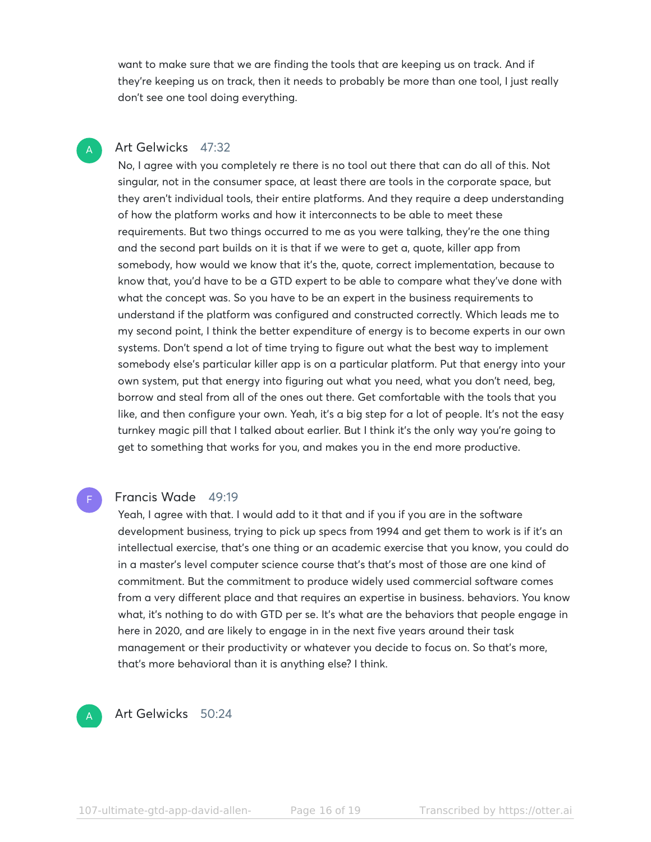want to make sure that we are finding the tools that are keeping us on track. And if they're keeping us on track, then it needs to probably be more than one tool, I just really don't see one tool doing everything.

## Art Gelwicks 47:32

A

No, I agree with you completely re there is no tool out there that can do all of this. Not singular, not in the consumer space, at least there are tools in the corporate space, but they aren't individual tools, their entire platforms. And they require a deep understanding of how the platform works and how it interconnects to be able to meet these requirements. But two things occurred to me as you were talking, they're the one thing and the second part builds on it is that if we were to get a, quote, killer app from somebody, how would we know that it's the, quote, correct implementation, because to know that, you'd have to be a GTD expert to be able to compare what they've done with what the concept was. So you have to be an expert in the business requirements to understand if the platform was configured and constructed correctly. Which leads me to my second point, I think the better expenditure of energy is to become experts in our own systems. Don't spend a lot of time trying to figure out what the best way to implement somebody else's particular killer app is on a particular platform. Put that energy into your own system, put that energy into figuring out what you need, what you don't need, beg, borrow and steal from all of the ones out there. Get comfortable with the tools that you like, and then configure your own. Yeah, it's a big step for a lot of people. It's not the easy turnkey magic pill that I talked about earlier. But I think it's the only way you're going to get to something that works for you, and makes you in the end more productive.

#### Francis Wade 49:19

Yeah, I agree with that. I would add to it that and if you if you are in the software development business, trying to pick up specs from 1994 and get them to work is if it's an intellectual exercise, that's one thing or an academic exercise that you know, you could do in a master's level computer science course that's that's most of those are one kind of commitment. But the commitment to produce widely used commercial software comes from a very different place and that requires an expertise in business. behaviors. You know what, it's nothing to do with GTD per se. It's what are the behaviors that people engage in here in 2020, and are likely to engage in in the next five years around their task management or their productivity or whatever you decide to focus on. So that's more, that's more behavioral than it is anything else? I think.

#### A

F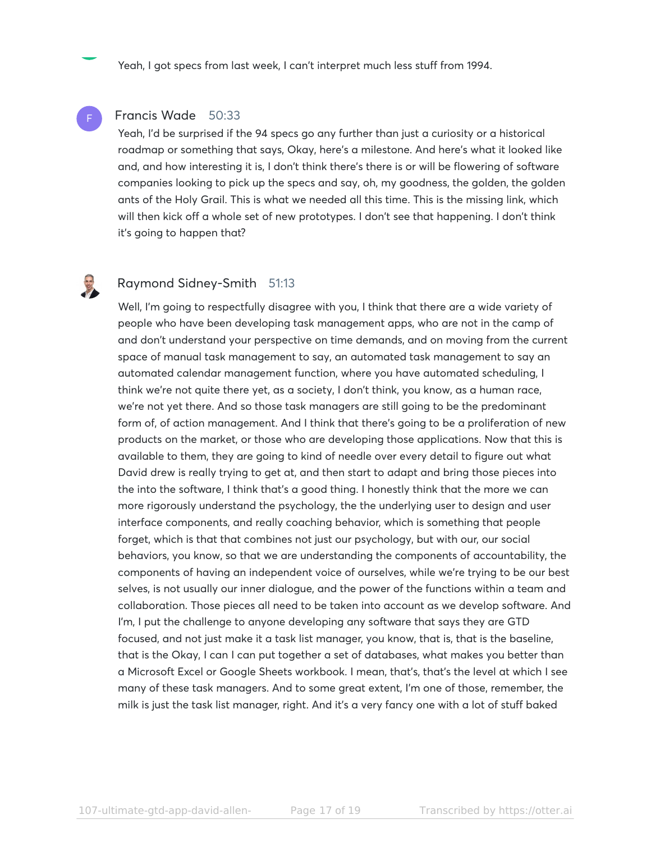Yeah, I got specs from last week, I can't interpret much less stuff from 1994.

#### Francis Wade 50:33

Yeah, I'd be surprised if the 94 specs go any further than just a curiosity or a historical roadmap or something that says, Okay, here's a milestone. And here's what it looked like and, and how interesting it is, I don't think there's there is or will be flowering of software companies looking to pick up the specs and say, oh, my goodness, the golden, the golden ants of the Holy Grail. This is what we needed all this time. This is the missing link, which will then kick off a whole set of new prototypes. I don't see that happening. I don't think it's going to happen that?

F

#### Raymond Sidney-Smith 51:13

Well, I'm going to respectfully disagree with you, I think that there are a wide variety of people who have been developing task management apps, who are not in the camp of and don't understand your perspective on time demands, and on moving from the current space of manual task management to say, an automated task management to say an automated calendar management function, where you have automated scheduling, I think we're not quite there yet, as a society, I don't think, you know, as a human race, we're not yet there. And so those task managers are still going to be the predominant form of, of action management. And I think that there's going to be a proliferation of new products on the market, or those who are developing those applications. Now that this is available to them, they are going to kind of needle over every detail to figure out what David drew is really trying to get at, and then start to adapt and bring those pieces into the into the software, I think that's a good thing. I honestly think that the more we can more rigorously understand the psychology, the the underlying user to design and user interface components, and really coaching behavior, which is something that people forget, which is that that combines not just our psychology, but with our, our social behaviors, you know, so that we are understanding the components of accountability, the components of having an independent voice of ourselves, while we're trying to be our best selves, is not usually our inner dialogue, and the power of the functions within a team and collaboration. Those pieces all need to be taken into account as we develop software. And I'm, I put the challenge to anyone developing any software that says they are GTD focused, and not just make it a task list manager, you know, that is, that is the baseline, that is the Okay, I can I can put together a set of databases, what makes you better than a Microsoft Excel or Google Sheets workbook. I mean, that's, that's the level at which I see many of these task managers. And to some great extent, I'm one of those, remember, the milk is just the task list manager, right. And it's a very fancy one with a lot of stuff baked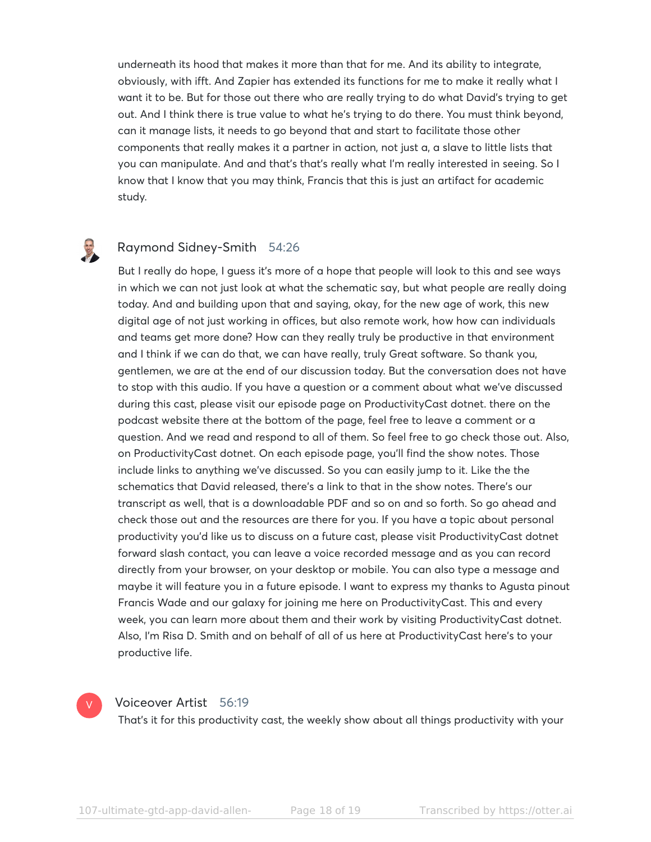underneath its hood that makes it more than that for me. And its ability to integrate, obviously, with ifft. And Zapier has extended its functions for me to make it really what I want it to be. But for those out there who are really trying to do what David's trying to get out. And I think there is true value to what he's trying to do there. You must think beyond, can it manage lists, it needs to go beyond that and start to facilitate those other components that really makes it a partner in action, not just a, a slave to little lists that you can manipulate. And and that's that's really what I'm really interested in seeing. So I know that I know that you may think, Francis that this is just an artifact for academic study.

# B

#### Raymond Sidney-Smith 54:26

But I really do hope, I guess it's more of a hope that people will look to this and see ways in which we can not just look at what the schematic say, but what people are really doing today. And and building upon that and saying, okay, for the new age of work, this new digital age of not just working in offices, but also remote work, how how can individuals and teams get more done? How can they really truly be productive in that environment and I think if we can do that, we can have really, truly Great software. So thank you, gentlemen, we are at the end of our discussion today. But the conversation does not have to stop with this audio. If you have a question or a comment about what we've discussed during this cast, please visit our episode page on ProductivityCast dotnet. there on the podcast website there at the bottom of the page, feel free to leave a comment or a question. And we read and respond to all of them. So feel free to go check those out. Also, on ProductivityCast dotnet. On each episode page, you'll find the show notes. Those include links to anything we've discussed. So you can easily jump to it. Like the the schematics that David released, there's a link to that in the show notes. There's our transcript as well, that is a downloadable PDF and so on and so forth. So go ahead and check those out and the resources are there for you. If you have a topic about personal productivity you'd like us to discuss on a future cast, please visit ProductivityCast dotnet forward slash contact, you can leave a voice recorded message and as you can record directly from your browser, on your desktop or mobile. You can also type a message and maybe it will feature you in a future episode. I want to express my thanks to Agusta pinout Francis Wade and our galaxy for joining me here on ProductivityCast. This and every week, you can learn more about them and their work by visiting ProductivityCast dotnet. Also, I'm Risa D. Smith and on behalf of all of us here at ProductivityCast here's to your productive life.



#### Voiceover Artist 56:19

That's it for this productivity cast, the weekly show about all things productivity with your